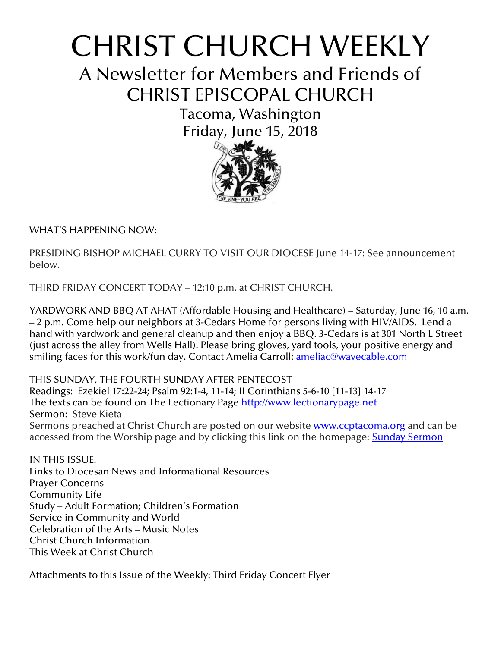# CHRIST CHURCH WEEKLY

A Newsletter for Members and Friends of CHRIST EPISCOPAL CHURCH

> Tacoma, Washington Friday, June 15, 2018



WHAT'S HAPPENING NOW:

PRESIDING BISHOP MICHAEL CURRY TO VISIT OUR DIOCESE June 14-17: See announcement below.

THIRD FRIDAY CONCERT TODAY – 12:10 p.m. at CHRIST CHURCH.

YARDWORK AND BBQ AT AHAT (Affordable Housing and Healthcare) – Saturday, June 16, 10 a.m. – 2 p.m. Come help our neighbors at 3-Cedars Home for persons living with HIV/AIDS. Lend a hand with yardwork and general cleanup and then enjoy a BBQ. 3-Cedars is at 301 North L Street (just across the alley from Wells Hall). Please bring gloves, yard tools, your positive energy and smiling faces for this work/fun day. Contact Amelia Carroll: <u>ameliac@wavecable.com</u>

THIS SUNDAY, THE FOURTH SUNDAY AFTER PENTECOST Readings: Ezekiel 17:22-24; Psalm 92:1-4, 11-14; II Corinthians 5-6-10 [11-13] 14-17 The texts can be found on The Lectionary Page [http://www.lectionarypage.net](http://www.lectionarypage.net/) Sermon: Steve Kieta Sermons preached at Christ Church are posted on our website **[www.ccptacoma.org](http://www.ccptacoma.org/)** and can be accessed from the Worship page and by clicking this link on the homepage: Sunday [Sermon](http://www.ccptacoma.org/article/43/worship/sermons)

IN THIS ISSUE: Links to Diocesan News and Informational Resources Prayer Concerns Community Life Study – Adult Formation; Children's Formation Service in Community and World Celebration of the Arts – Music Notes Christ Church Information This Week at Christ Church

Attachments to this Issue of the Weekly: Third Friday Concert Flyer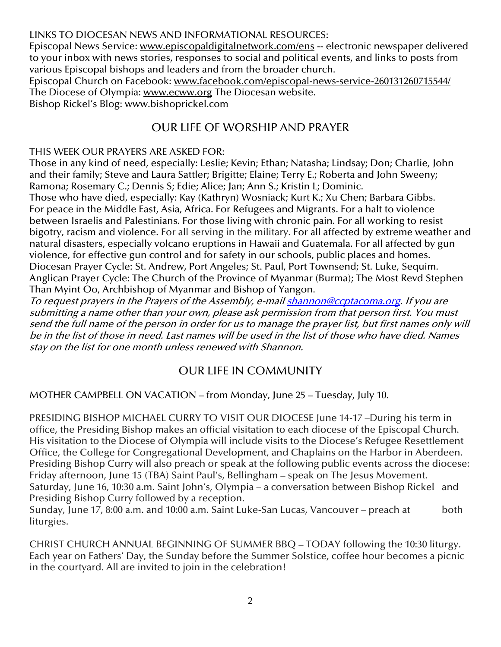LINKS TO DIOCESAN NEWS AND INFORMATIONAL RESOURCES:

Episcopal News Service: [www.episcopaldigitalnetwork.com/ens](http://www.episcopaldigitalnetwork.com/ens) -- electronic newspaper delivered to your inbox with news stories, responses to social and political events, and links to posts from various Episcopal bishops and leaders and from the broader church.

Episcopal Church on Facebook: [www.facebook.com/episcopal-news-service-260131260715544/](http://www.facebook.com/episcopal-news-service-260131260715544/) The Diocese of Olympia: [www.ecww.org](http://www.ecww.org/) The Diocesan website.

Bishop Rickel's Blog: [www.bishoprickel.com](http://www.bishoprickel.com/)

# OUR LIFE OF WORSHIP AND PRAYER

## THIS WEEK OUR PRAYERS ARE ASKED FOR:

Those in any kind of need, especially: Leslie; Kevin; Ethan; Natasha; Lindsay; Don; Charlie, John and their family; Steve and Laura Sattler; Brigitte; Elaine; Terry E.; Roberta and John Sweeny; Ramona; Rosemary C.; Dennis S; Edie; Alice; Jan; Ann S.; Kristin L; Dominic.

Those who have died, especially: Kay (Kathryn) Wosniack; Kurt K.; Xu Chen; Barbara Gibbs. For peace in the Middle East, Asia, Africa. For Refugees and Migrants. For a halt to violence between Israelis and Palestinians. For those living with chronic pain. For all working to resist bigotry, racism and violence. For all serving in the military. For all affected by extreme weather and natural disasters, especially volcano eruptions in Hawaii and Guatemala. For all affected by gun violence, for effective gun control and for safety in our schools, public places and homes. Diocesan Prayer Cycle: St. Andrew, Port Angeles; St. Paul, Port Townsend; St. Luke, Sequim. Anglican Prayer Cycle: The Church of the Province of Myanmar (Burma); The Most Revd Stephen Than Myint Oo, Archbishop of Myanmar and Bishop of Yangon.

To request prayers in the Prayers of the Assembly, e-mai[l shannon@ccptacoma.org.](mailto:shannon@ccptacoma.org) If you are submitting a name other than your own, please ask permission from that person first. You must send the full name of the person in order for us to manage the prayer list, but first names only will be in the list of those in need. Last names will be used in the list of those who have died. Names stay on the list for one month unless renewed with Shannon.

# OUR LIFE IN COMMUNITY

## MOTHER CAMPBELL ON VACATION – from Monday, June 25 – Tuesday, July 10.

PRESIDING BISHOP MICHAEL CURRY TO VISIT OUR DIOCESE June 14-17 –During his term in office, the Presiding Bishop makes an official visitation to each diocese of the Episcopal Church. His visitation to the Diocese of Olympia will include visits to the Diocese's Refugee Resettlement Office, the College for Congregational Development, and Chaplains on the Harbor in Aberdeen. Presiding Bishop Curry will also preach or speak at the following public events across the diocese: Friday afternoon, June 15 (TBA) Saint Paul's, Bellingham – speak on The Jesus Movement. Saturday, June 16, 10:30 a.m. Saint John's, Olympia – a conversation between Bishop Rickel and Presiding Bishop Curry followed by a reception.

Sunday, June 17, 8:00 a.m. and 10:00 a.m. Saint Luke-San Lucas, Vancouver – preach at both liturgies.

CHRIST CHURCH ANNUAL BEGINNING OF SUMMER BBQ – TODAY following the 10:30 liturgy. Each year on Fathers' Day, the Sunday before the Summer Solstice, coffee hour becomes a picnic in the courtyard. All are invited to join in the celebration!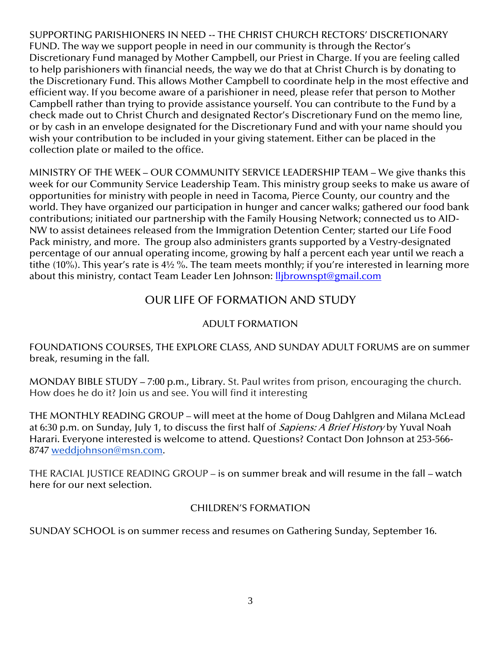SUPPORTING PARISHIONERS IN NEED -- THE CHRIST CHURCH RECTORS' DISCRETIONARY FUND. The way we support people in need in our community is through the Rector's Discretionary Fund managed by Mother Campbell, our Priest in Charge. If you are feeling called to help parishioners with financial needs, the way we do that at Christ Church is by donating to the Discretionary Fund. This allows Mother Campbell to coordinate help in the most effective and efficient way. If you become aware of a parishioner in need, please refer that person to Mother Campbell rather than trying to provide assistance yourself. You can contribute to the Fund by a check made out to Christ Church and designated Rector's Discretionary Fund on the memo line, or by cash in an envelope designated for the Discretionary Fund and with your name should you wish your contribution to be included in your giving statement. Either can be placed in the collection plate or mailed to the office.

MINISTRY OF THE WEEK – OUR COMMUNITY SERVICE LEADERSHIP TEAM – We give thanks this week for our Community Service Leadership Team. This ministry group seeks to make us aware of opportunities for ministry with people in need in Tacoma, Pierce County, our country and the world. They have organized our participation in hunger and cancer walks; gathered our food bank contributions; initiated our partnership with the Family Housing Network; connected us to AID-NW to assist detainees released from the Immigration Detention Center; started our Life Food Pack ministry, and more. The group also administers grants supported by a Vestry-designated percentage of our annual operating income, growing by half a percent each year until we reach a tithe (10%). This year's rate is 4½ %. The team meets monthly; if you're interested in learning more about this ministry, contact Team Leader Len Johnson: *llibrownspt@gmail.com* 

# OUR LIFE OF FORMATION AND STUDY

#### ADULT FORMATION

FOUNDATIONS COURSES, THE EXPLORE CLASS, AND SUNDAY ADULT FORUMS are on summer break, resuming in the fall.

MONDAY BIBLE STUDY – 7:00 p.m., Library. St. Paul writes from prison, encouraging the church. How does he do it? Join us and see. You will find it interesting

THE MONTHLY READING GROUP – will meet at the home of Doug Dahlgren and Milana McLead at 6:30 p.m. on Sunday, July 1, to discuss the first half of *Sapiens: A Brief History* by Yuval Noah Harari. Everyone interested is welcome to attend. Questions? Contact Don Johnson at 253-566- 8747 [weddjohnson@msn.com.](mailto:weddjohnson@msn.com)

THE RACIAL JUSTICE READING GROUP – is on summer break and will resume in the fall – watch here for our next selection.

#### CHILDREN'S FORMATION

SUNDAY SCHOOL is on summer recess and resumes on Gathering Sunday, September 16.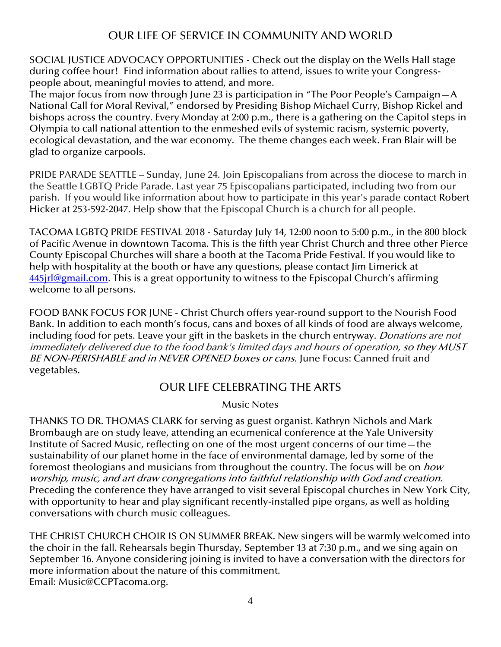# OUR LIFE OF SERVICE IN COMMUNITY AND WORLD

SOCIAL JUSTICE ADVOCACY OPPORTUNITIES - Check out the display on the Wells Hall stage during coffee hour! Find information about rallies to attend, issues to write your Congresspeople about, meaningful movies to attend, and more.

The major focus from now through June 23 is participation in "The Poor People's Campaign—A National Call for Moral Revival," endorsed by Presiding Bishop Michael Curry, Bishop Rickel and bishops across the country. Every Monday at 2:00 p.m., there is a gathering on the Capitol steps in Olympia to call national attention to the enmeshed evils of systemic racism, systemic poverty, ecological devastation, and the war economy. The theme changes each week. Fran Blair will be glad to organize carpools.

PRIDE PARADE SEATTLE – Sunday, June 24. Join Episcopalians from across the diocese to march in the Seattle LGBTQ Pride Parade. Last year 75 Episcopalians participated, including two from our parish. If you would like information about how to participate in this year's parade contact Robert Hicker at 253-592-2047. Help show that the Episcopal Church is a church for all people.

TACOMA LGBTQ PRIDE FESTIVAL 2018 - Saturday July 14, 12:00 noon to 5:00 p.m., in the 800 block of Pacific Avenue in downtown Tacoma. This is the fifth year Christ Church and three other Pierce County Episcopal Churches will share a booth at the Tacoma Pride Festival. If you would like to help with hospitality at the booth or have any questions, please contact Jim Limerick at 445 irl@gmail.com. This is a great opportunity to witness to the Episcopal Church's affirming welcome to all persons.

FOOD BANK FOCUS FOR JUNE - Christ Church offers year-round support to the Nourish Food Bank. In addition to each month's focus, cans and boxes of all kinds of food are always welcome, including food for pets. Leave your gift in the baskets in the church entryway. Donations are not immediately delivered due to the food bank's limited days and hours of operation, so they MUST BE NON-PERISHABLE and in NEVER OPENED boxes or cans. June Focus: Canned fruit and vegetables.

## OUR LIFE CELEBRATING THE ARTS

Music Notes

THANKS TO DR. THOMAS CLARK for serving as guest organist. Kathryn Nichols and Mark Brombaugh are on study leave, attending an ecumenical conference at the Yale University Institute of Sacred Music, reflecting on one of the most urgent concerns of our time—the sustainability of our planet home in the face of environmental damage, led by some of the foremost theologians and musicians from throughout the country. The focus will be on *how* worship, music, and art draw congregations into faithful relationship with God and creation. Preceding the conference they have arranged to visit several Episcopal churches in New York City, with opportunity to hear and play significant recently-installed pipe organs, as well as holding conversations with church music colleagues.

THE CHRIST CHURCH CHOIR IS ON SUMMER BREAK. New singers will be warmly welcomed into the choir in the fall. Rehearsals begin Thursday, September 13 at 7:30 p.m., and we sing again on September 16. Anyone considering joining is invited to have a conversation with the directors for more information about the nature of this commitment. Email: [Music@CCPTacoma.org.](mailto:Music@CCPTacoma.org)